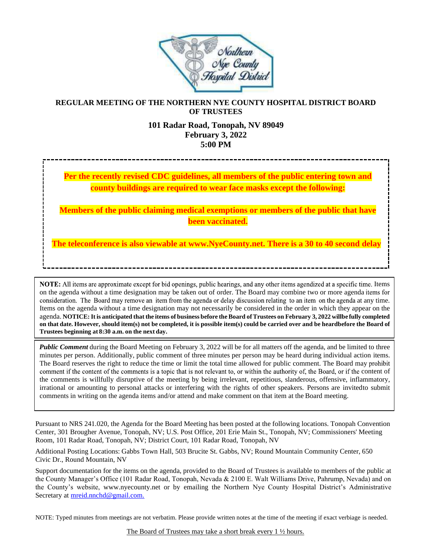

## **REGULAR MEETING OF THE NORTHERN NYE COUNTY HOSPITAL DISTRICT BOARD OF TRUSTEES**

#### **101 Radar Road, Tonopah, NV 89049 February 3, 2022 5:00 PM**

**Per the recently revised CDC guidelines, all members of the public entering town and county buildings are required to wear face masks except the following:**

**Members of the public claiming medical exemptions or members of the public that have been vaccinated.**

**The teleconference is also viewable at [www.NyeCounty.net.](http://www.nyecounty.net.thereisa30to40seconddelay/) There is a 30 to 40 second delay**

NOTE: All items are approximate except for bid openings, public hearings, and any other items agendized at a specific time. Items on the agenda without a time designation may be taken out of order. The Board may combine two or more agenda consideration. The Board may remove an item from the agenda or delay discussion relating to an item on the agenda at any time. Items on the agenda without a time designation may not necessarily be considered in the order in which they appear on the agenda. NOTICE: It is anticipated that the items of business before the Board of Trustees on February 3, 2022 willbe fully completed on that date. However, should item(s) not be completed, it is possible item(s) could be carried over and be heardbefore the Board of **Trustees beginning at 8:30 a.m. on the next day.**

*Public Comment* during the Board Meeting on February 3, 2022 will be for all matters off the agenda, and be limited to three minutes per person. Additionally, public comment of three minutes per person may be heard during individual action items. The Board reserves the right to reduce the time or limit the total time allowed for public comment. The Board may prohibit comment if the content of the comments is a topic that is not relevant to, or within the authority of, the Board, or if the content of the comments is willfully disruptive of the meeting by being irrelevant, repetitious, slanderous, offensive, inflammatory, irrational or amounting to personal attacks or interfering with the rights of other speakers. Persons are invitedto submit comments in writing on the agenda items and/or attend and make comment on that item at the Board meeting.

Pursuant to NRS 241.020, the Agenda for the Board Meeting has been posted at the following locations. Tonopah Convention Center, 301 Brougher Avenue, Tonopah, NV; U.S. Post Office, 201 Erie Main St., Tonopah, NV; Commissioners' Meeting Room, 101 Radar Road, Tonopah, NV; District Court, 101 Radar Road, Tonopah, NV

Additional Posting Locations: Gabbs Town Hall, 503 Brucite St. Gabbs, NV; Round Mountain Community Center, 650 Civic Dr., Round Mountain, NV

Support documentation for the items on the agenda, provided to the Board of Trustees is available to members of the public at the County Manager's Office (101 Radar Road, Tonopah, Nevada & 2100 E. Walt Williams Drive, Pahrump, Nevada) and on the County's website, [www.nyecounty.net](http://www.nyecounty.net/) or by emailing the Northern Nye County Hospital District's Administrative Secretary at [mreid.nnchd@gmail.com.](mailto:mreid.nnchd@gmail.com)

NOTE: Typed minutes from meetings are not verbatim. Please provide written notes at the time of the meeting if exact verbiage is needed.

The Board of Trustees may take a short break every 1  $\frac{1}{2}$  hours.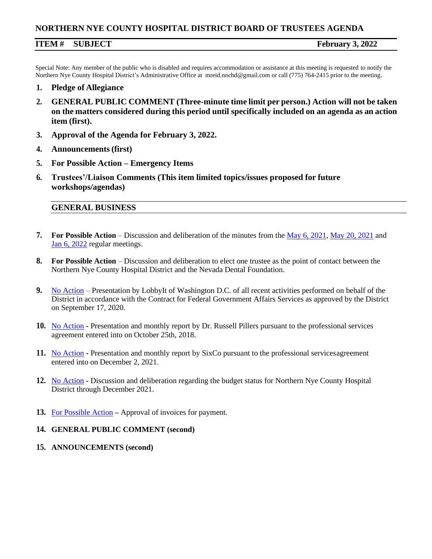### **NORTHERN NYE COUNTY HOSPITAL DISTRICT BOARD OF TRUSTEES AGENDA**

### **ITEM # SUBJECT February 3, 2022**

Special Note: Any member of the public who is disabled and requires accommodation or assistance at this meeting is requested to notify the Northern Nye County Hospital District's Administrative Office at [mreid.nnchd@gmail.com o](mailto:mreid.nnchd@gmail.com)r call (775) 764-2415 prior to the meeting.

- **1. Pledge of Allegiance**
- **2. GENERAL PUBLIC COMMENT (Three-minute time limit per person.) Action will not be taken on the matters considered during this period until specifically included on an agenda as an action item (first).**
- **3. Approval of the Agenda for February 3, 2022.**
- **4. Announcements(first)**
- **5. For Possible Action – Emergency Items**
- **6. Trustees'/Liaison Comments (This item limited topics/issues proposed for future workshops/agendas)**

# **GENERAL BUSINESS**

- **7. For Possible Action**  Discussion and deliberation of the minutes from the [May 6, 2021,](https://www.nyecounty.net/DocumentCenter/View/40348/May-6-2022-Minutes) [May 20, 2021](https://www.nyecounty.net/DocumentCenter/View/40349/May-20-2021-Minutes) and [Jan 6, 2022](https://www.nyecounty.net/DocumentCenter/View/40353/January-6-2022-Minutes) regular meetings.
- **8. For Possible Action**  Discussion and deliberation to elect one trustee as the point of contact between the Northern Nye County Hospital District and the Nevada Dental Foundation.
- **9.** [No Action](https://www.nyecounty.net/DocumentCenter/View/40347/LobbyIt-Report) Presentation by LobbyIt of Washington D.C. of all recent activities performed on behalf of the District in accordance with the Contract for Federal Government Affairs Services as approved by the District on September 17, 2020.
- **10.** [No Action](https://www.nyecounty.net/DocumentCenter/View/40351/Biowerx) **-** Presentation and monthly report by Dr. Russell Pillers pursuant to the professional services agreement entered into on October 25th, 2018.
- **11.** [No Action](https://www.nyecounty.net/DocumentCenter/View/40350/SixCo) **-** Presentation and monthly report by SixCo pursuant to the professional servicesagreement entered into on December 2, 2021.
- **12.** [No Action](https://www.nyecounty.net/DocumentCenter/View/40352/Budget-Status) **-** Discussion and deliberation regarding the budget status for Northern Nye County Hospital District through December 2021.
- **13.** For [Possible](https://www.nyecounty.net/DocumentCenter/View/40354/February-Invoices-for-payment) Action **–** Approval of invoices for payment.
- **14. GENERAL PUBLIC COMMENT (second)**
- **15. ANNOUNCEMENTS (second)**